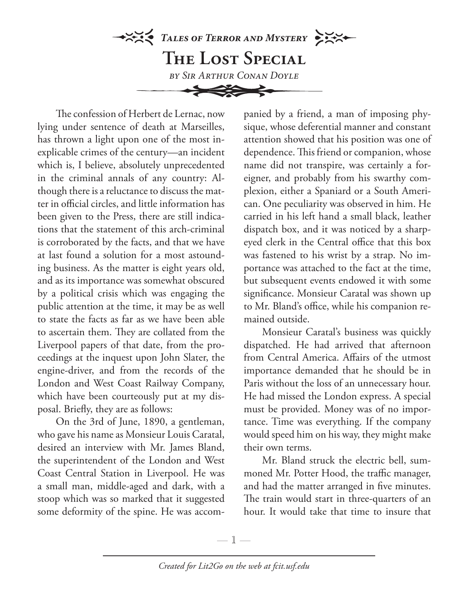

The confession of Herbert de Lernac, now lying under sentence of death at Marseilles, has thrown a light upon one of the most inexplicable crimes of the century—an incident which is, I believe, absolutely unprecedented in the criminal annals of any country: Although there is a reluctance to discuss the matter in official circles, and little information has been given to the Press, there are still indications that the statement of this arch-criminal is corroborated by the facts, and that we have at last found a solution for a most astounding business. As the matter is eight years old, and as its importance was somewhat obscured by a political crisis which was engaging the public attention at the time, it may be as well to state the facts as far as we have been able to ascertain them. They are collated from the Liverpool papers of that date, from the proceedings at the inquest upon John Slater, the engine-driver, and from the records of the London and West Coast Railway Company, which have been courteously put at my disposal. Briefly, they are as follows:

On the 3rd of June, 1890, a gentleman, who gave his name as Monsieur Louis Caratal, desired an interview with Mr. James Bland, the superintendent of the London and West Coast Central Station in Liverpool. He was a small man, middle-aged and dark, with a stoop which was so marked that it suggested some deformity of the spine. He was accom-

panied by a friend, a man of imposing physique, whose deferential manner and constant attention showed that his position was one of dependence. This friend or companion, whose name did not transpire, was certainly a foreigner, and probably from his swarthy complexion, either a Spaniard or a South American. One peculiarity was observed in him. He carried in his left hand a small black, leather dispatch box, and it was noticed by a sharpeyed clerk in the Central office that this box was fastened to his wrist by a strap. No importance was attached to the fact at the time, but subsequent events endowed it with some significance. Monsieur Caratal was shown up to Mr. Bland's office, while his companion remained outside.

Monsieur Caratal's business was quickly dispatched. He had arrived that afternoon from Central America. Affairs of the utmost importance demanded that he should be in Paris without the loss of an unnecessary hour. He had missed the London express. A special must be provided. Money was of no importance. Time was everything. If the company would speed him on his way, they might make their own terms.

Mr. Bland struck the electric bell, summoned Mr. Potter Hood, the traffic manager, and had the matter arranged in five minutes. The train would start in three-quarters of an hour. It would take that time to insure that

—  $\mathbb{1}$  —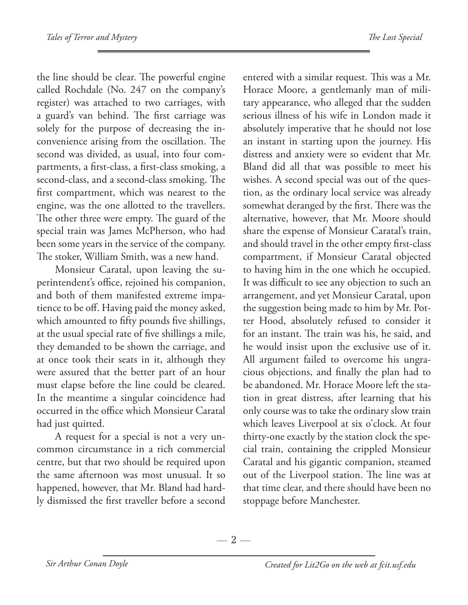the line should be clear. The powerful engine called Rochdale (No. 247 on the company's register) was attached to two carriages, with a guard's van behind. The first carriage was solely for the purpose of decreasing the inconvenience arising from the oscillation. The second was divided, as usual, into four compartments, a first-class, a first-class smoking, a second-class, and a second-class smoking. The first compartment, which was nearest to the engine, was the one allotted to the travellers. The other three were empty. The guard of the special train was James McPherson, who had been some years in the service of the company. The stoker, William Smith, was a new hand.

Monsieur Caratal, upon leaving the superintendent's office, rejoined his companion, and both of them manifested extreme impatience to be off. Having paid the money asked, which amounted to fifty pounds five shillings, at the usual special rate of five shillings a mile, they demanded to be shown the carriage, and at once took their seats in it, although they were assured that the better part of an hour must elapse before the line could be cleared. In the meantime a singular coincidence had occurred in the office which Monsieur Caratal had just quitted.

A request for a special is not a very uncommon circumstance in a rich commercial centre, but that two should be required upon the same afternoon was most unusual. It so happened, however, that Mr. Bland had hardly dismissed the first traveller before a second

entered with a similar request. This was a Mr. Horace Moore, a gentlemanly man of military appearance, who alleged that the sudden serious illness of his wife in London made it absolutely imperative that he should not lose an instant in starting upon the journey. His distress and anxiety were so evident that Mr. Bland did all that was possible to meet his wishes. A second special was out of the question, as the ordinary local service was already somewhat deranged by the first. There was the alternative, however, that Mr. Moore should share the expense of Monsieur Caratal's train, and should travel in the other empty first-class compartment, if Monsieur Caratal objected to having him in the one which he occupied. It was difficult to see any objection to such an arrangement, and yet Monsieur Caratal, upon the suggestion being made to him by Mr. Potter Hood, absolutely refused to consider it for an instant. The train was his, he said, and he would insist upon the exclusive use of it. All argument failed to overcome his ungracious objections, and finally the plan had to be abandoned. Mr. Horace Moore left the station in great distress, after learning that his only course was to take the ordinary slow train which leaves Liverpool at six o'clock. At four thirty-one exactly by the station clock the special train, containing the crippled Monsieur Caratal and his gigantic companion, steamed out of the Liverpool station. The line was at that time clear, and there should have been no stoppage before Manchester.

—  $2-$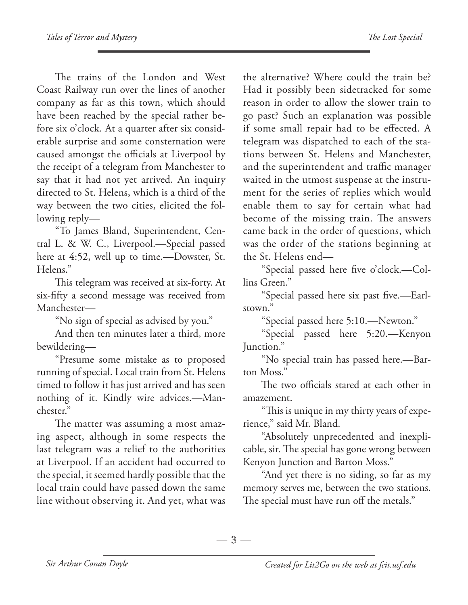The trains of the London and West Coast Railway run over the lines of another company as far as this town, which should have been reached by the special rather before six o'clock. At a quarter after six considerable surprise and some consternation were caused amongst the officials at Liverpool by the receipt of a telegram from Manchester to say that it had not yet arrived. An inquiry directed to St. Helens, which is a third of the way between the two cities, elicited the following reply—

"To James Bland, Superintendent, Central L. & W. C., Liverpool.—Special passed here at 4:52, well up to time.—Dowster, St. Helens."

This telegram was received at six-forty. At six-fifty a second message was received from Manchester—

"No sign of special as advised by you."

And then ten minutes later a third, more bewildering—

"Presume some mistake as to proposed running of special. Local train from St. Helens timed to follow it has just arrived and has seen nothing of it. Kindly wire advices.—Manchester."

The matter was assuming a most amazing aspect, although in some respects the last telegram was a relief to the authorities at Liverpool. If an accident had occurred to the special, it seemed hardly possible that the local train could have passed down the same line without observing it. And yet, what was

the alternative? Where could the train be? Had it possibly been sidetracked for some reason in order to allow the slower train to go past? Such an explanation was possible if some small repair had to be effected. A telegram was dispatched to each of the stations between St. Helens and Manchester, and the superintendent and traffic manager waited in the utmost suspense at the instrument for the series of replies which would enable them to say for certain what had become of the missing train. The answers came back in the order of questions, which was the order of the stations beginning at the St. Helens end—

"Special passed here five o'clock.—Collins Green."

"Special passed here six past five.—Earlstown."

"Special passed here 5:10.—Newton."

"Special passed here 5:20.—Kenyon Junction."

"No special train has passed here.—Barton Moss."

The two officials stared at each other in amazement.

"This is unique in my thirty years of experience," said Mr. Bland.

"Absolutely unprecedented and inexplicable, sir. The special has gone wrong between Kenyon Junction and Barton Moss."

"And yet there is no siding, so far as my memory serves me, between the two stations. The special must have run off the metals."

 $-3-$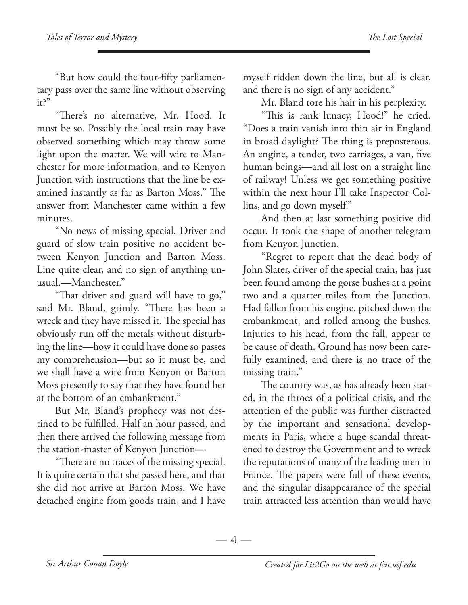"But how could the four-fifty parliamentary pass over the same line without observing it?"

"There's no alternative, Mr. Hood. It must be so. Possibly the local train may have observed something which may throw some light upon the matter. We will wire to Manchester for more information, and to Kenyon Junction with instructions that the line be examined instantly as far as Barton Moss." The answer from Manchester came within a few minutes.

"No news of missing special. Driver and guard of slow train positive no accident between Kenyon Junction and Barton Moss. Line quite clear, and no sign of anything unusual.—Manchester."

"That driver and guard will have to go," said Mr. Bland, grimly. "There has been a wreck and they have missed it. The special has obviously run off the metals without disturbing the line—how it could have done so passes my comprehension—but so it must be, and we shall have a wire from Kenyon or Barton Moss presently to say that they have found her at the bottom of an embankment."

But Mr. Bland's prophecy was not destined to be fulfilled. Half an hour passed, and then there arrived the following message from the station-master of Kenyon Junction—

"There are no traces of the missing special. It is quite certain that she passed here, and that she did not arrive at Barton Moss. We have detached engine from goods train, and I have myself ridden down the line, but all is clear, and there is no sign of any accident."

Mr. Bland tore his hair in his perplexity.

"This is rank lunacy, Hood!" he cried. "Does a train vanish into thin air in England in broad daylight? The thing is preposterous. An engine, a tender, two carriages, a van, five human beings—and all lost on a straight line of railway! Unless we get something positive within the next hour I'll take Inspector Collins, and go down myself."

And then at last something positive did occur. It took the shape of another telegram from Kenyon Junction.

"Regret to report that the dead body of John Slater, driver of the special train, has just been found among the gorse bushes at a point two and a quarter miles from the Junction. Had fallen from his engine, pitched down the embankment, and rolled among the bushes. Injuries to his head, from the fall, appear to be cause of death. Ground has now been carefully examined, and there is no trace of the missing train."

The country was, as has already been stated, in the throes of a political crisis, and the attention of the public was further distracted by the important and sensational developments in Paris, where a huge scandal threatened to destroy the Government and to wreck the reputations of many of the leading men in France. The papers were full of these events, and the singular disappearance of the special train attracted less attention than would have

 $-4-$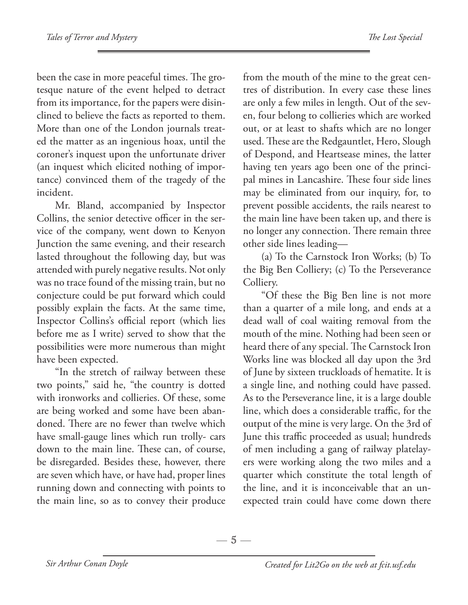been the case in more peaceful times. The grotesque nature of the event helped to detract from its importance, for the papers were disinclined to believe the facts as reported to them. More than one of the London journals treated the matter as an ingenious hoax, until the coroner's inquest upon the unfortunate driver (an inquest which elicited nothing of importance) convinced them of the tragedy of the incident.

Mr. Bland, accompanied by Inspector Collins, the senior detective officer in the service of the company, went down to Kenyon Junction the same evening, and their research lasted throughout the following day, but was attended with purely negative results. Not only was no trace found of the missing train, but no conjecture could be put forward which could possibly explain the facts. At the same time, Inspector Collins's official report (which lies before me as I write) served to show that the possibilities were more numerous than might have been expected.

"In the stretch of railway between these two points," said he, "the country is dotted with ironworks and collieries. Of these, some are being worked and some have been abandoned. There are no fewer than twelve which have small-gauge lines which run trolly- cars down to the main line. These can, of course, be disregarded. Besides these, however, there are seven which have, or have had, proper lines running down and connecting with points to the main line, so as to convey their produce

from the mouth of the mine to the great centres of distribution. In every case these lines are only a few miles in length. Out of the seven, four belong to collieries which are worked out, or at least to shafts which are no longer used. These are the Redgauntlet, Hero, Slough of Despond, and Heartsease mines, the latter having ten years ago been one of the principal mines in Lancashire. These four side lines may be eliminated from our inquiry, for, to prevent possible accidents, the rails nearest to the main line have been taken up, and there is no longer any connection. There remain three other side lines leading—

(a) To the Carnstock Iron Works; (b) To the Big Ben Colliery; (c) To the Perseverance Colliery.

"Of these the Big Ben line is not more than a quarter of a mile long, and ends at a dead wall of coal waiting removal from the mouth of the mine. Nothing had been seen or heard there of any special. The Carnstock Iron Works line was blocked all day upon the 3rd of June by sixteen truckloads of hematite. It is a single line, and nothing could have passed. As to the Perseverance line, it is a large double line, which does a considerable traffic, for the output of the mine is very large. On the 3rd of June this traffic proceeded as usual; hundreds of men including a gang of railway platelayers were working along the two miles and a quarter which constitute the total length of the line, and it is inconceivable that an unexpected train could have come down there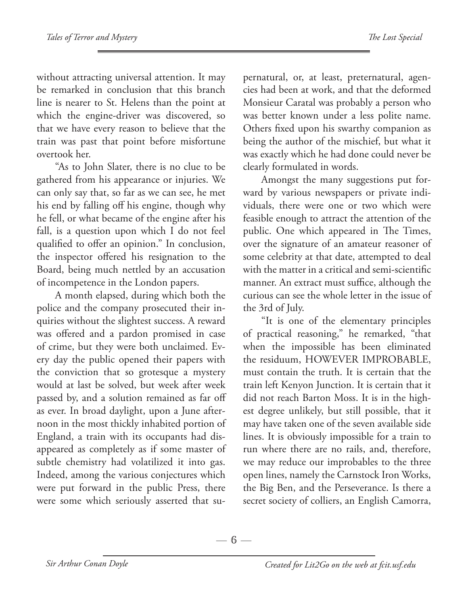without attracting universal attention. It may be remarked in conclusion that this branch line is nearer to St. Helens than the point at which the engine-driver was discovered, so that we have every reason to believe that the train was past that point before misfortune overtook her.

"As to John Slater, there is no clue to be gathered from his appearance or injuries. We can only say that, so far as we can see, he met his end by falling off his engine, though why he fell, or what became of the engine after his fall, is a question upon which I do not feel qualified to offer an opinion." In conclusion, the inspector offered his resignation to the Board, being much nettled by an accusation of incompetence in the London papers.

A month elapsed, during which both the police and the company prosecuted their inquiries without the slightest success. A reward was offered and a pardon promised in case of crime, but they were both unclaimed. Every day the public opened their papers with the conviction that so grotesque a mystery would at last be solved, but week after week passed by, and a solution remained as far off as ever. In broad daylight, upon a June afternoon in the most thickly inhabited portion of England, a train with its occupants had disappeared as completely as if some master of subtle chemistry had volatilized it into gas. Indeed, among the various conjectures which were put forward in the public Press, there were some which seriously asserted that supernatural, or, at least, preternatural, agencies had been at work, and that the deformed Monsieur Caratal was probably a person who was better known under a less polite name. Others fixed upon his swarthy companion as being the author of the mischief, but what it was exactly which he had done could never be clearly formulated in words.

Amongst the many suggestions put forward by various newspapers or private individuals, there were one or two which were feasible enough to attract the attention of the public. One which appeared in The Times, over the signature of an amateur reasoner of some celebrity at that date, attempted to deal with the matter in a critical and semi-scientific manner. An extract must suffice, although the curious can see the whole letter in the issue of the 3rd of July.

"It is one of the elementary principles of practical reasoning," he remarked, "that when the impossible has been eliminated the residuum, HOWEVER IMPROBABLE, must contain the truth. It is certain that the train left Kenyon Junction. It is certain that it did not reach Barton Moss. It is in the highest degree unlikely, but still possible, that it may have taken one of the seven available side lines. It is obviously impossible for a train to run where there are no rails, and, therefore, we may reduce our improbables to the three open lines, namely the Carnstock Iron Works, the Big Ben, and the Perseverance. Is there a secret society of colliers, an English Camorra,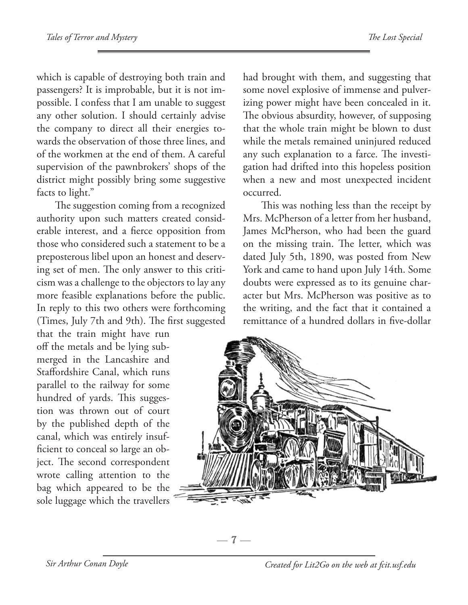which is capable of destroying both train and passengers? It is improbable, but it is not impossible. I confess that I am unable to suggest any other solution. I should certainly advise the company to direct all their energies towards the observation of those three lines, and of the workmen at the end of them. A careful supervision of the pawnbrokers' shops of the district might possibly bring some suggestive facts to light."

The suggestion coming from a recognized authority upon such matters created considerable interest, and a fierce opposition from those who considered such a statement to be a preposterous libel upon an honest and deserving set of men. The only answer to this criticism was a challenge to the objectors to lay any more feasible explanations before the public. In reply to this two others were forthcoming (Times, July 7th and 9th). The first suggested

that the train might have run off the metals and be lying submerged in the Lancashire and Staffordshire Canal, which runs parallel to the railway for some hundred of yards. This suggestion was thrown out of court by the published depth of the canal, which was entirely insufficient to conceal so large an object. The second correspondent wrote calling attention to the bag which appeared to be the sole luggage which the travellers

had brought with them, and suggesting that some novel explosive of immense and pulverizing power might have been concealed in it. The obvious absurdity, however, of supposing that the whole train might be blown to dust while the metals remained uninjured reduced any such explanation to a farce. The investigation had drifted into this hopeless position when a new and most unexpected incident occurred.

This was nothing less than the receipt by Mrs. McPherson of a letter from her husband, James McPherson, who had been the guard on the missing train. The letter, which was dated July 5th, 1890, was posted from New York and came to hand upon July 14th. Some doubts were expressed as to its genuine character but Mrs. McPherson was positive as to the writing, and the fact that it contained a remittance of a hundred dollars in five-dollar



 $-7-$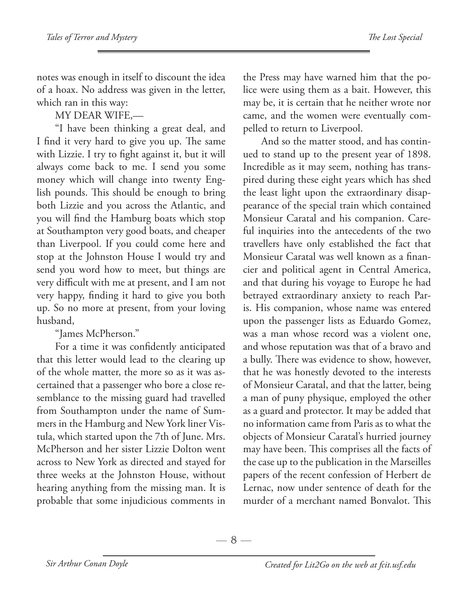notes was enough in itself to discount the idea of a hoax. No address was given in the letter, which ran in this way:

MY DEAR WIFE,—

"I have been thinking a great deal, and I find it very hard to give you up. The same with Lizzie. I try to fight against it, but it will always come back to me. I send you some money which will change into twenty English pounds. This should be enough to bring both Lizzie and you across the Atlantic, and you will find the Hamburg boats which stop at Southampton very good boats, and cheaper than Liverpool. If you could come here and stop at the Johnston House I would try and send you word how to meet, but things are very difficult with me at present, and I am not very happy, finding it hard to give you both up. So no more at present, from your loving husband,

"James McPherson."

For a time it was confidently anticipated that this letter would lead to the clearing up of the whole matter, the more so as it was ascertained that a passenger who bore a close resemblance to the missing guard had travelled from Southampton under the name of Summers in the Hamburg and New York liner Vistula, which started upon the 7th of June. Mrs. McPherson and her sister Lizzie Dolton went across to New York as directed and stayed for three weeks at the Johnston House, without hearing anything from the missing man. It is probable that some injudicious comments in

the Press may have warned him that the police were using them as a bait. However, this may be, it is certain that he neither wrote nor came, and the women were eventually compelled to return to Liverpool.

And so the matter stood, and has continued to stand up to the present year of 1898. Incredible as it may seem, nothing has transpired during these eight years which has shed the least light upon the extraordinary disappearance of the special train which contained Monsieur Caratal and his companion. Careful inquiries into the antecedents of the two travellers have only established the fact that Monsieur Caratal was well known as a financier and political agent in Central America, and that during his voyage to Europe he had betrayed extraordinary anxiety to reach Paris. His companion, whose name was entered upon the passenger lists as Eduardo Gomez, was a man whose record was a violent one, and whose reputation was that of a bravo and a bully. There was evidence to show, however, that he was honestly devoted to the interests of Monsieur Caratal, and that the latter, being a man of puny physique, employed the other as a guard and protector. It may be added that no information came from Paris as to what the objects of Monsieur Caratal's hurried journey may have been. This comprises all the facts of the case up to the publication in the Marseilles papers of the recent confession of Herbert de Lernac, now under sentence of death for the murder of a merchant named Bonvalot. This

 $-8 -$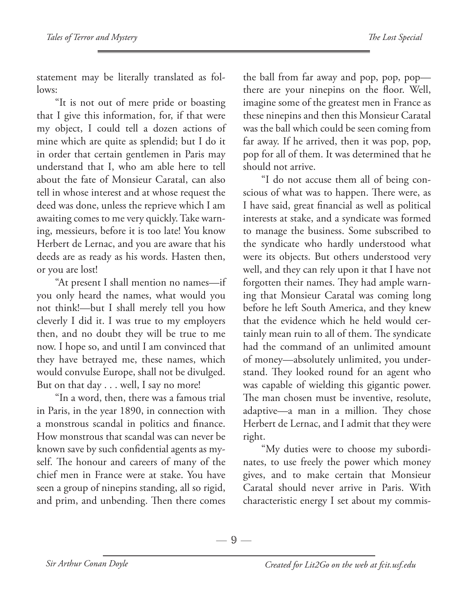statement may be literally translated as follows:

"It is not out of mere pride or boasting that I give this information, for, if that were my object, I could tell a dozen actions of mine which are quite as splendid; but I do it in order that certain gentlemen in Paris may understand that I, who am able here to tell about the fate of Monsieur Caratal, can also tell in whose interest and at whose request the deed was done, unless the reprieve which I am awaiting comes to me very quickly. Take warning, messieurs, before it is too late! You know Herbert de Lernac, and you are aware that his deeds are as ready as his words. Hasten then, or you are lost!

"At present I shall mention no names—if you only heard the names, what would you not think!—but I shall merely tell you how cleverly I did it. I was true to my employers then, and no doubt they will be true to me now. I hope so, and until I am convinced that they have betrayed me, these names, which would convulse Europe, shall not be divulged. But on that day . . . well, I say no more!

"In a word, then, there was a famous trial in Paris, in the year 1890, in connection with a monstrous scandal in politics and finance. How monstrous that scandal was can never be known save by such confidential agents as myself. The honour and careers of many of the chief men in France were at stake. You have seen a group of ninepins standing, all so rigid, and prim, and unbending. Then there comes the ball from far away and pop, pop, pop there are your ninepins on the floor. Well, imagine some of the greatest men in France as these ninepins and then this Monsieur Caratal was the ball which could be seen coming from far away. If he arrived, then it was pop, pop, pop for all of them. It was determined that he should not arrive.

"I do not accuse them all of being conscious of what was to happen. There were, as I have said, great financial as well as political interests at stake, and a syndicate was formed to manage the business. Some subscribed to the syndicate who hardly understood what were its objects. But others understood very well, and they can rely upon it that I have not forgotten their names. They had ample warning that Monsieur Caratal was coming long before he left South America, and they knew that the evidence which he held would certainly mean ruin to all of them. The syndicate had the command of an unlimited amount of money—absolutely unlimited, you understand. They looked round for an agent who was capable of wielding this gigantic power. The man chosen must be inventive, resolute, adaptive—a man in a million. They chose Herbert de Lernac, and I admit that they were right.

"My duties were to choose my subordinates, to use freely the power which money gives, and to make certain that Monsieur Caratal should never arrive in Paris. With characteristic energy I set about my commis-

 $-9-$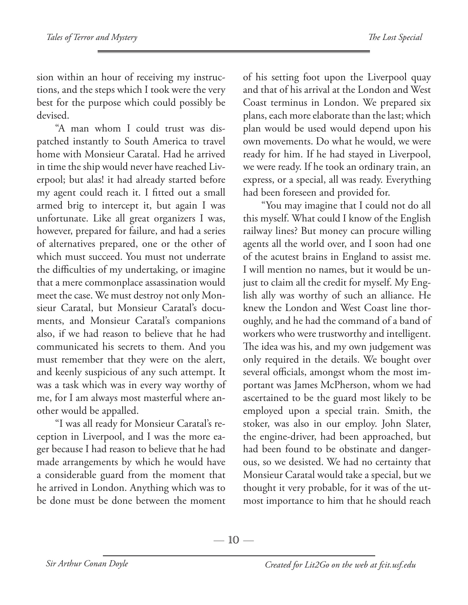sion within an hour of receiving my instructions, and the steps which I took were the very best for the purpose which could possibly be devised.

"A man whom I could trust was dispatched instantly to South America to travel home with Monsieur Caratal. Had he arrived in time the ship would never have reached Liverpool; but alas! it had already started before my agent could reach it. I fitted out a small armed brig to intercept it, but again I was unfortunate. Like all great organizers I was, however, prepared for failure, and had a series of alternatives prepared, one or the other of which must succeed. You must not underrate the difficulties of my undertaking, or imagine that a mere commonplace assassination would meet the case. We must destroy not only Monsieur Caratal, but Monsieur Caratal's documents, and Monsieur Caratal's companions also, if we had reason to believe that he had communicated his secrets to them. And you must remember that they were on the alert, and keenly suspicious of any such attempt. It was a task which was in every way worthy of me, for I am always most masterful where another would be appalled.

"I was all ready for Monsieur Caratal's reception in Liverpool, and I was the more eager because I had reason to believe that he had made arrangements by which he would have a considerable guard from the moment that he arrived in London. Anything which was to be done must be done between the moment of his setting foot upon the Liverpool quay and that of his arrival at the London and West Coast terminus in London. We prepared six plans, each more elaborate than the last; which plan would be used would depend upon his own movements. Do what he would, we were ready for him. If he had stayed in Liverpool, we were ready. If he took an ordinary train, an express, or a special, all was ready. Everything had been foreseen and provided for.

"You may imagine that I could not do all this myself. What could I know of the English railway lines? But money can procure willing agents all the world over, and I soon had one of the acutest brains in England to assist me. I will mention no names, but it would be unjust to claim all the credit for myself. My English ally was worthy of such an alliance. He knew the London and West Coast line thoroughly, and he had the command of a band of workers who were trustworthy and intelligent. The idea was his, and my own judgement was only required in the details. We bought over several officials, amongst whom the most important was James McPherson, whom we had ascertained to be the guard most likely to be employed upon a special train. Smith, the stoker, was also in our employ. John Slater, the engine-driver, had been approached, but had been found to be obstinate and dangerous, so we desisted. We had no certainty that Monsieur Caratal would take a special, but we thought it very probable, for it was of the utmost importance to him that he should reach

 $-10-$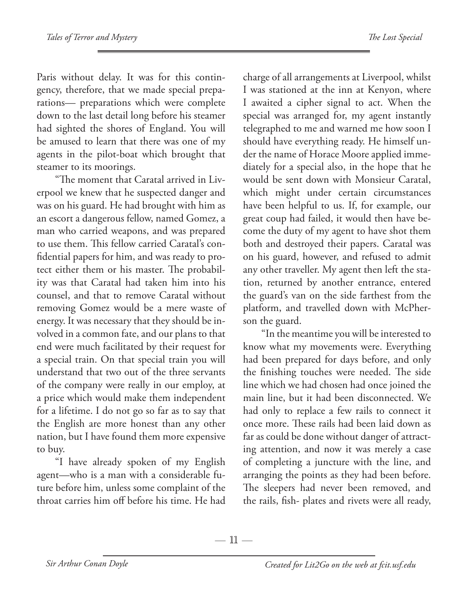Paris without delay. It was for this contingency, therefore, that we made special preparations— preparations which were complete down to the last detail long before his steamer had sighted the shores of England. You will be amused to learn that there was one of my agents in the pilot-boat which brought that steamer to its moorings.

"The moment that Caratal arrived in Liverpool we knew that he suspected danger and was on his guard. He had brought with him as an escort a dangerous fellow, named Gomez, a man who carried weapons, and was prepared to use them. This fellow carried Caratal's confidential papers for him, and was ready to protect either them or his master. The probability was that Caratal had taken him into his counsel, and that to remove Caratal without removing Gomez would be a mere waste of energy. It was necessary that they should be involved in a common fate, and our plans to that end were much facilitated by their request for a special train. On that special train you will understand that two out of the three servants of the company were really in our employ, at a price which would make them independent for a lifetime. I do not go so far as to say that the English are more honest than any other nation, but I have found them more expensive to buy.

"I have already spoken of my English agent—who is a man with a considerable future before him, unless some complaint of the throat carries him off before his time. He had charge of all arrangements at Liverpool, whilst I was stationed at the inn at Kenyon, where I awaited a cipher signal to act. When the special was arranged for, my agent instantly telegraphed to me and warned me how soon I should have everything ready. He himself under the name of Horace Moore applied immediately for a special also, in the hope that he would be sent down with Monsieur Caratal, which might under certain circumstances have been helpful to us. If, for example, our great coup had failed, it would then have become the duty of my agent to have shot them both and destroyed their papers. Caratal was on his guard, however, and refused to admit any other traveller. My agent then left the station, returned by another entrance, entered the guard's van on the side farthest from the platform, and travelled down with McPherson the guard.

"In the meantime you will be interested to know what my movements were. Everything had been prepared for days before, and only the finishing touches were needed. The side line which we had chosen had once joined the main line, but it had been disconnected. We had only to replace a few rails to connect it once more. These rails had been laid down as far as could be done without danger of attracting attention, and now it was merely a case of completing a juncture with the line, and arranging the points as they had been before. The sleepers had never been removed, and the rails, fish- plates and rivets were all ready,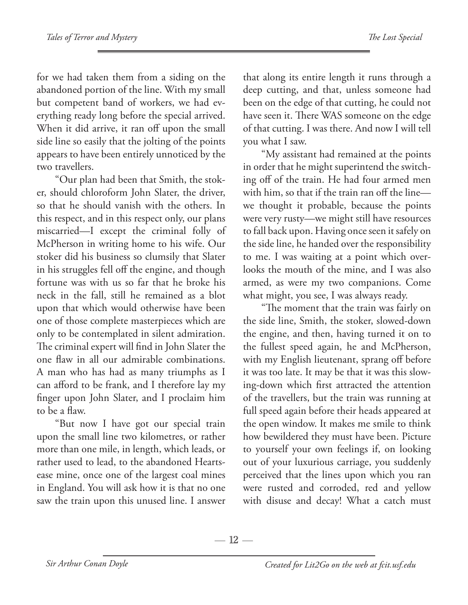for we had taken them from a siding on the abandoned portion of the line. With my small but competent band of workers, we had everything ready long before the special arrived. When it did arrive, it ran off upon the small side line so easily that the jolting of the points appears to have been entirely unnoticed by the two travellers.

"Our plan had been that Smith, the stoker, should chloroform John Slater, the driver, so that he should vanish with the others. In this respect, and in this respect only, our plans miscarried—I except the criminal folly of McPherson in writing home to his wife. Our stoker did his business so clumsily that Slater in his struggles fell off the engine, and though fortune was with us so far that he broke his neck in the fall, still he remained as a blot upon that which would otherwise have been one of those complete masterpieces which are only to be contemplated in silent admiration. The criminal expert will find in John Slater the one flaw in all our admirable combinations. A man who has had as many triumphs as I can afford to be frank, and I therefore lay my finger upon John Slater, and I proclaim him to be a flaw.

"But now I have got our special train upon the small line two kilometres, or rather more than one mile, in length, which leads, or rather used to lead, to the abandoned Heartsease mine, once one of the largest coal mines in England. You will ask how it is that no one saw the train upon this unused line. I answer

that along its entire length it runs through a deep cutting, and that, unless someone had been on the edge of that cutting, he could not have seen it. There WAS someone on the edge of that cutting. I was there. And now I will tell you what I saw.

"My assistant had remained at the points in order that he might superintend the switching off of the train. He had four armed men with him, so that if the train ran off the line we thought it probable, because the points were very rusty—we might still have resources to fall back upon. Having once seen it safely on the side line, he handed over the responsibility to me. I was waiting at a point which overlooks the mouth of the mine, and I was also armed, as were my two companions. Come what might, you see, I was always ready.

"The moment that the train was fairly on the side line, Smith, the stoker, slowed-down the engine, and then, having turned it on to the fullest speed again, he and McPherson, with my English lieutenant, sprang off before it was too late. It may be that it was this slowing-down which first attracted the attention of the travellers, but the train was running at full speed again before their heads appeared at the open window. It makes me smile to think how bewildered they must have been. Picture to yourself your own feelings if, on looking out of your luxurious carriage, you suddenly perceived that the lines upon which you ran were rusted and corroded, red and yellow with disuse and decay! What a catch must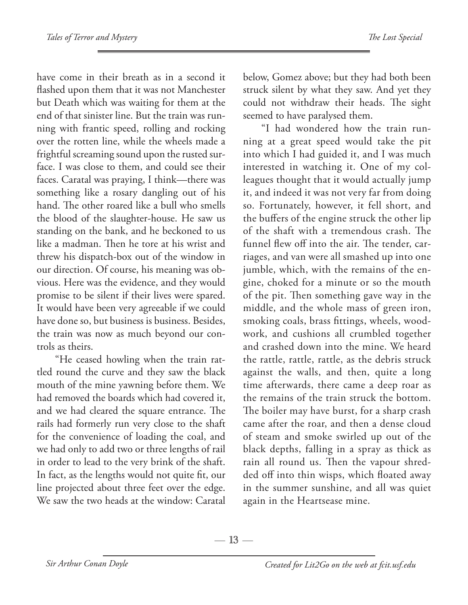have come in their breath as in a second it flashed upon them that it was not Manchester but Death which was waiting for them at the end of that sinister line. But the train was running with frantic speed, rolling and rocking over the rotten line, while the wheels made a frightful screaming sound upon the rusted surface. I was close to them, and could see their faces. Caratal was praying, I think—there was something like a rosary dangling out of his hand. The other roared like a bull who smells the blood of the slaughter-house. He saw us standing on the bank, and he beckoned to us like a madman. Then he tore at his wrist and threw his dispatch-box out of the window in our direction. Of course, his meaning was obvious. Here was the evidence, and they would promise to be silent if their lives were spared. It would have been very agreeable if we could have done so, but business is business. Besides, the train was now as much beyond our controls as theirs.

"He ceased howling when the train rattled round the curve and they saw the black mouth of the mine yawning before them. We had removed the boards which had covered it, and we had cleared the square entrance. The rails had formerly run very close to the shaft for the convenience of loading the coal, and we had only to add two or three lengths of rail in order to lead to the very brink of the shaft. In fact, as the lengths would not quite fit, our line projected about three feet over the edge. We saw the two heads at the window: Caratal below, Gomez above; but they had both been struck silent by what they saw. And yet they could not withdraw their heads. The sight seemed to have paralysed them.

"I had wondered how the train running at a great speed would take the pit into which I had guided it, and I was much interested in watching it. One of my colleagues thought that it would actually jump it, and indeed it was not very far from doing so. Fortunately, however, it fell short, and the buffers of the engine struck the other lip of the shaft with a tremendous crash. The funnel flew off into the air. The tender, carriages, and van were all smashed up into one jumble, which, with the remains of the engine, choked for a minute or so the mouth of the pit. Then something gave way in the middle, and the whole mass of green iron, smoking coals, brass fittings, wheels, woodwork, and cushions all crumbled together and crashed down into the mine. We heard the rattle, rattle, rattle, as the debris struck against the walls, and then, quite a long time afterwards, there came a deep roar as the remains of the train struck the bottom. The boiler may have burst, for a sharp crash came after the roar, and then a dense cloud of steam and smoke swirled up out of the black depths, falling in a spray as thick as rain all round us. Then the vapour shredded off into thin wisps, which floated away in the summer sunshine, and all was quiet again in the Heartsease mine.

 $-13-$